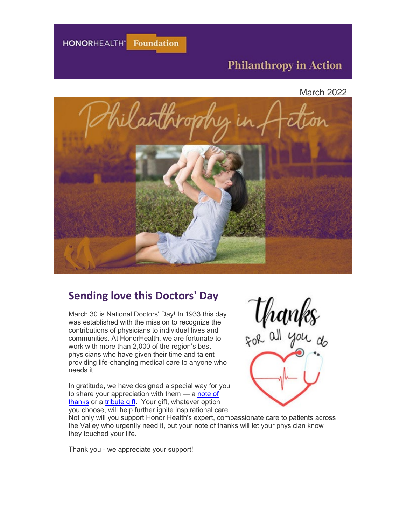HONORHEALTH' Foundation

# **Philanthropy in Action**

March 2022



## **Sending love this Doctors' Day**

March 30 is National Doctors' Day! In 1933 this day was established with the mission to recognize the contributions of physicians to individual lives and communities. At HonorHealth, we are fortunate to work with more than 2,000 of the region's best physicians who have given their time and talent providing life-changing medical care to anyone who needs it.

In gratitude, we have designed a special way for you to share your appreciation with them — a [note of](https://urldefense.com/v3/__https:/eml-pusa01.app.blackbaud.net/intv2/j/8AC8B814-DFFC-40E2-9828-48E69FA9AE76/r/8AC8B814-DFFC-40E2-9828-48E69FA9AE76_70770a8d-68f2-4356-9035-ae4449f8e2e3/l/E7CEBE32-0CBF-4715-A792-CB254CC9CCED/c__;!!AtGvImiT!nIBXfpxQ8-ZpePFJd0CsKB1JZgHNHI3SHycn3_txkcolBRx33m22eTBoRxb-mOKlaw$)  [thanks](https://urldefense.com/v3/__https:/eml-pusa01.app.blackbaud.net/intv2/j/8AC8B814-DFFC-40E2-9828-48E69FA9AE76/r/8AC8B814-DFFC-40E2-9828-48E69FA9AE76_70770a8d-68f2-4356-9035-ae4449f8e2e3/l/E7CEBE32-0CBF-4715-A792-CB254CC9CCED/c__;!!AtGvImiT!nIBXfpxQ8-ZpePFJd0CsKB1JZgHNHI3SHycn3_txkcolBRx33m22eTBoRxb-mOKlaw$) or a [tribute gift.](https://urldefense.com/v3/__https:/eml-pusa01.app.blackbaud.net/intv2/j/8AC8B814-DFFC-40E2-9828-48E69FA9AE76/r/8AC8B814-DFFC-40E2-9828-48E69FA9AE76_70770a8d-68f2-4356-9035-ae4449f8e2e3/l/71729D6F-D9EA-420F-9EB1-DAA6BD620B79/c__;!!AtGvImiT!nIBXfpxQ8-ZpePFJd0CsKB1JZgHNHI3SHycn3_txkcolBRx33m22eTBoRxZJp5rD-A$) Your gift, whatever option you choose, will help further ignite inspirational care.



Not only will you support Honor Health's expert, compassionate care to patients across the Valley who urgently need it, but your note of thanks will let your physician know they touched your life.

Thank you - we appreciate your support!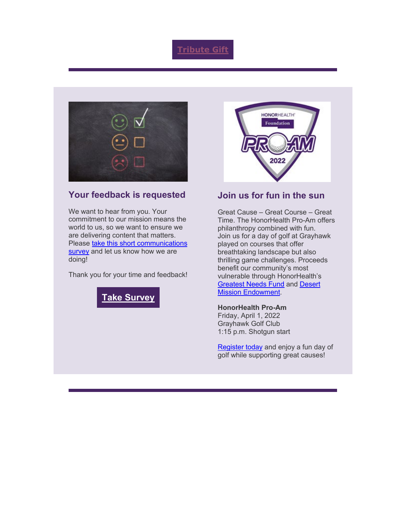## **[Tribute Gift](https://urldefense.com/v3/__https:/eml-pusa01.app.blackbaud.net/intv2/j/8AC8B814-DFFC-40E2-9828-48E69FA9AE76/r/8AC8B814-DFFC-40E2-9828-48E69FA9AE76_70770a8d-68f2-4356-9035-ae4449f8e2e3/l/B7B630AA-07FF-4DF0-A521-CF16FE4F9545/c__;!!AtGvImiT!nIBXfpxQ8-ZpePFJd0CsKB1JZgHNHI3SHycn3_txkcolBRx33m22eTBoRxZJouvstA$)**



#### **Your feedback is requested**

We want to hear from you. Your commitment to our mission means the world to us, so we want to ensure we are delivering content that matters. Please take this short communications [survey](https://urldefense.com/v3/__https:/eml-pusa01.app.blackbaud.net/intv2/j/8AC8B814-DFFC-40E2-9828-48E69FA9AE76/r/8AC8B814-DFFC-40E2-9828-48E69FA9AE76_70770a8d-68f2-4356-9035-ae4449f8e2e3/l/12EA7047-64F9-4ED9-9AD6-06E39A145D49/c__;!!AtGvImiT!nIBXfpxQ8-ZpePFJd0CsKB1JZgHNHI3SHycn3_txkcolBRx33m22eTBoRxZ1i6IxmA$) and let us know how we are doing!

Thank you for your time and feedback!





#### **Join us for fun in the sun**

Great Cause – Great Course – Great Time. The HonorHealth Pro-Am offers philanthropy combined with fun. Join us for a day of golf at Grayhawk played on courses that offer breathtaking landscape but also thrilling game challenges. Proceeds benefit our community's most vulnerable through HonorHealth's [Greatest Needs Fund](https://urldefense.com/v3/__https:/eml-pusa01.app.blackbaud.net/intv2/j/8AC8B814-DFFC-40E2-9828-48E69FA9AE76/r/8AC8B814-DFFC-40E2-9828-48E69FA9AE76_70770a8d-68f2-4356-9035-ae4449f8e2e3/l/5D4AA04C-3AFE-4B23-A124-DF45FB2FDA3A/c__;!!AtGvImiT!nIBXfpxQ8-ZpePFJd0CsKB1JZgHNHI3SHycn3_txkcolBRx33m22eTBoRxZx27VezQ$) and [Desert](https://urldefense.com/v3/__https:/eml-pusa01.app.blackbaud.net/intv2/j/8AC8B814-DFFC-40E2-9828-48E69FA9AE76/r/8AC8B814-DFFC-40E2-9828-48E69FA9AE76_70770a8d-68f2-4356-9035-ae4449f8e2e3/l/71CF9782-D226-4D0C-88B2-86448FFD43FB/c__;!!AtGvImiT!nIBXfpxQ8-ZpePFJd0CsKB1JZgHNHI3SHycn3_txkcolBRx33m22eTBoRxZ5JeGjeQ$)  [Mission Endowment.](https://urldefense.com/v3/__https:/eml-pusa01.app.blackbaud.net/intv2/j/8AC8B814-DFFC-40E2-9828-48E69FA9AE76/r/8AC8B814-DFFC-40E2-9828-48E69FA9AE76_70770a8d-68f2-4356-9035-ae4449f8e2e3/l/71CF9782-D226-4D0C-88B2-86448FFD43FB/c__;!!AtGvImiT!nIBXfpxQ8-ZpePFJd0CsKB1JZgHNHI3SHycn3_txkcolBRx33m22eTBoRxZ5JeGjeQ$)

**HonorHealth Pro-Am**

Friday, April 1, 2022 Grayhawk Golf Club 1:15 p.m. Shotgun start

[Register today](https://urldefense.com/v3/__https:/eml-pusa01.app.blackbaud.net/intv2/j/8AC8B814-DFFC-40E2-9828-48E69FA9AE76/r/8AC8B814-DFFC-40E2-9828-48E69FA9AE76_70770a8d-68f2-4356-9035-ae4449f8e2e3/l/14EA9738-2275-4DFA-85C7-103F84072379/c__;!!AtGvImiT!nIBXfpxQ8-ZpePFJd0CsKB1JZgHNHI3SHycn3_txkcolBRx33m22eTBoRxb15aeBuQ$) and enjoy a fun day of golf while supporting great causes!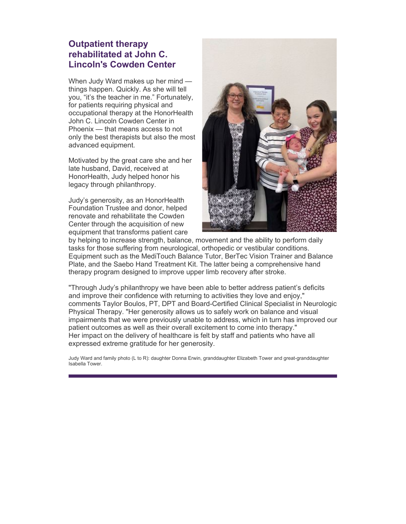### **Outpatient therapy rehabilitated at John C. Lincoln's Cowden Center**

When Judy Ward makes up her mind things happen. Quickly. As she will tell you, "it's the teacher in me." Fortunately, for patients requiring physical and occupational therapy at the HonorHealth John C. Lincoln Cowden Center in Phoenix — that means access to not only the best therapists but also the most advanced equipment.

Motivated by the great care she and her late husband, David, received at HonorHealth, Judy helped honor his legacy through philanthropy.

Judy's generosity, as an HonorHealth Foundation Trustee and donor, helped renovate and rehabilitate the Cowden Center through the acquisition of new equipment that transforms patient care



by helping to increase strength, balance, movement and the ability to perform daily tasks for those suffering from neurological, orthopedic or vestibular conditions. Equipment such as the MediTouch Balance Tutor, BerTec Vision Trainer and Balance Plate, and the Saebo Hand Treatment Kit. The latter being a comprehensive hand therapy program designed to improve upper limb recovery after stroke.

"Through Judy's philanthropy we have been able to better address patient's deficits and improve their confidence with returning to activities they love and enjoy," comments Taylor Boulos, PT, DPT and Board-Certified Clinical Specialist in Neurologic Physical Therapy. "Her generosity allows us to safely work on balance and visual impairments that we were previously unable to address, which in turn has improved our patient outcomes as well as their overall excitement to come into therapy." Her impact on the delivery of healthcare is felt by staff and patients who have all expressed extreme gratitude for her generosity.

Judy Ward and family photo (L to R): daughter Donna Erwin, granddaughter Elizabeth Tower and great-granddaughter Isabella Tower.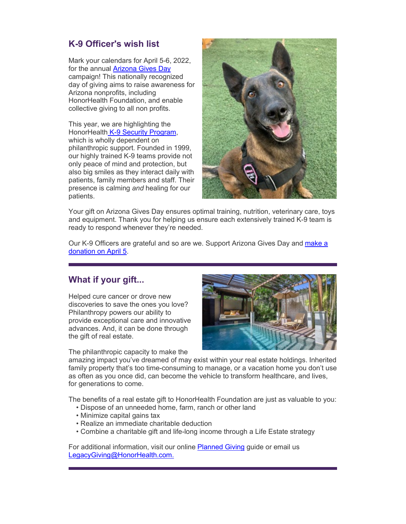## **K-9 Officer's wish list**

Mark your calendars for April 5-6, 2022, for the annual [Arizona Gives Day](https://urldefense.com/v3/__https:/eml-pusa01.app.blackbaud.net/intv2/j/8AC8B814-DFFC-40E2-9828-48E69FA9AE76/r/8AC8B814-DFFC-40E2-9828-48E69FA9AE76_70770a8d-68f2-4356-9035-ae4449f8e2e3/l/92E28DA9-D8D4-4D67-B2FA-10BCBCC09A7D/c__;!!AtGvImiT!nIBXfpxQ8-ZpePFJd0CsKB1JZgHNHI3SHycn3_txkcolBRx33m22eTBoRxaCVXA2FA$) campaign! This nationally recognized day of giving aims to raise awareness for Arizona nonprofits, including HonorHealth Foundation, and enable collective giving to all non profits.

This year, we are highlighting the HonorHealt[h K-9 Security Program,](https://urldefense.com/v3/__https:/eml-pusa01.app.blackbaud.net/intv2/j/8AC8B814-DFFC-40E2-9828-48E69FA9AE76/r/8AC8B814-DFFC-40E2-9828-48E69FA9AE76_70770a8d-68f2-4356-9035-ae4449f8e2e3/l/D6A4EDF4-82C9-4831-9988-2DFF902B391C/c__;!!AtGvImiT!nIBXfpxQ8-ZpePFJd0CsKB1JZgHNHI3SHycn3_txkcolBRx33m22eTBoRxZrqP24kQ$) which is wholly dependent on philanthropic support. Founded in 1999, our highly trained K-9 teams provide not only peace of mind and protection, but also big smiles as they interact daily with patients, family members and staff. Their presence is calming *and* healing for our patients.



Your gift on Arizona Gives Day ensures optimal training, nutrition, veterinary care, toys and equipment. Thank you for helping us ensure each extensively trained K-9 team is ready to respond whenever they're needed.

Our K-9 Officers are grateful and so are we. Support Arizona Gives Day and make a [donation on April 5.](https://urldefense.com/v3/__https:/eml-pusa01.app.blackbaud.net/intv2/j/8AC8B814-DFFC-40E2-9828-48E69FA9AE76/r/8AC8B814-DFFC-40E2-9828-48E69FA9AE76_70770a8d-68f2-4356-9035-ae4449f8e2e3/l/EB2F4D98-4537-48C3-BFC6-B19810B4E9AD/c__;!!AtGvImiT!nIBXfpxQ8-ZpePFJd0CsKB1JZgHNHI3SHycn3_txkcolBRx33m22eTBoRxZ2cuzzfw$)

### **What if your gift...**

Helped cure cancer or drove new discoveries to save the ones you love? Philanthropy powers our ability to provide exceptional care and innovative advances. And, it can be done through the gift of real estate.

The philanthropic capacity to make the



amazing impact you've dreamed of may exist within your real estate holdings. Inherited family property that's too time-consuming to manage, or a vacation home you don't use as often as you once did, can become the vehicle to transform healthcare, and lives, for generations to come.

The benefits of a real estate gift to HonorHealth Foundation are just as valuable to you:

- Dispose of an unneeded home, farm, ranch or other land
- Minimize capital gains tax
- Realize an immediate charitable deduction
- Combine a charitable gift and life-long income through a Life Estate strategy

For additional information, visit our online [Planned Giving](https://urldefense.com/v3/__https:/eml-pusa01.app.blackbaud.net/intv2/j/8AC8B814-DFFC-40E2-9828-48E69FA9AE76/r/8AC8B814-DFFC-40E2-9828-48E69FA9AE76_70770a8d-68f2-4356-9035-ae4449f8e2e3/l/8572D095-4876-4965-AA4E-F2B55BFE72CB/c__;!!AtGvImiT!nIBXfpxQ8-ZpePFJd0CsKB1JZgHNHI3SHycn3_txkcolBRx33m22eTBoRxaEzPl3Tw$) guide or email us [LegacyGiving@HonorHealth.com.](mailto:LegacyGiving@HonorHealth.com)